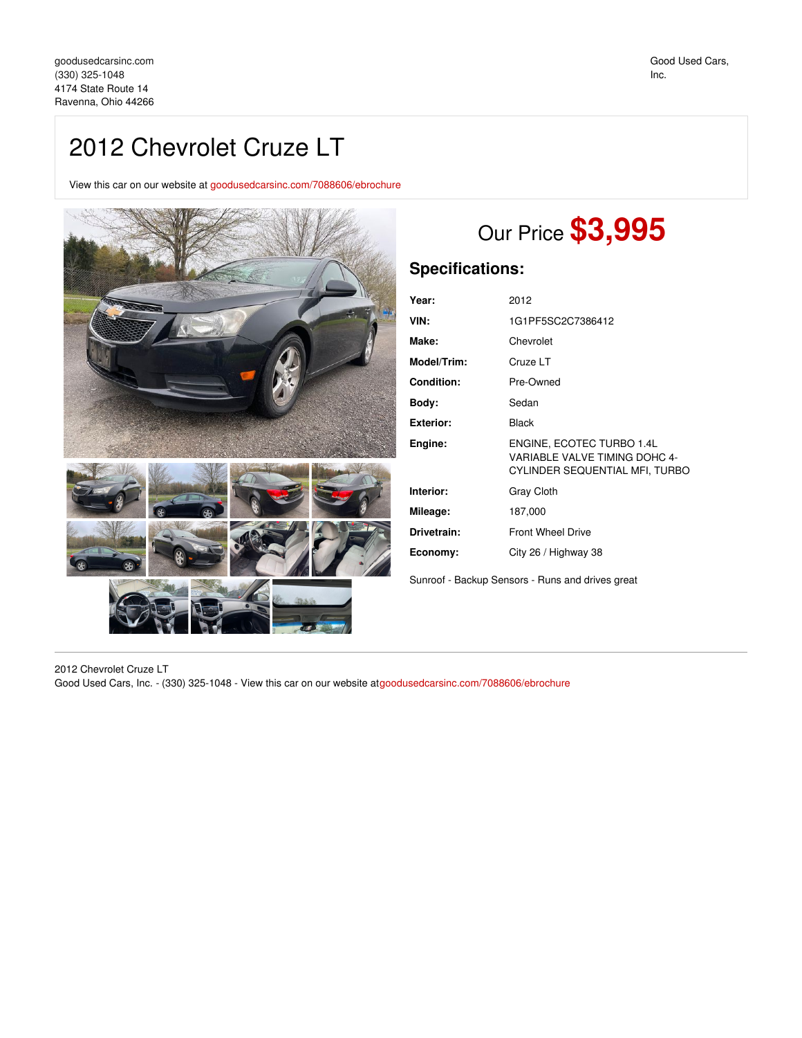## 2012 Chevrolet Cruze LT

View this car on our website at [goodusedcarsinc.com/7088606/ebrochure](https://goodusedcarsinc.com/vehicle/7088606/2012-chevrolet-cruze-lt-ravenna-ohio-44266/7088606/ebrochure)



## Our Price **\$3,995**

## **Specifications:**

| Year:            | 2012                                                                                         |
|------------------|----------------------------------------------------------------------------------------------|
| VIN:             | 1G1PF5SC2C7386412                                                                            |
| Make:            | Chevrolet                                                                                    |
| Model/Trim:      | Cruze LT                                                                                     |
| Condition:       | Pre-Owned                                                                                    |
| Body:            | Sedan                                                                                        |
| <b>Exterior:</b> | Black                                                                                        |
| Engine:          | ENGINE, ECOTEC TURBO 1.4L<br>VARIABLE VALVE TIMING DOHC 4-<br>CYLINDER SEQUENTIAL MFI, TURBO |
| Interior:        | <b>Gray Cloth</b>                                                                            |
| Mileage:         | 187,000                                                                                      |
| Drivetrain:      | <b>Front Wheel Drive</b>                                                                     |
| Economy:         | City 26 / Highway 38                                                                         |

Sunroof - Backup Sensors - Runs and drives great

2012 Chevrolet Cruze LT

Good Used Cars, Inc. - (330) 325-1048 - View this car on our website at[goodusedcarsinc.com/7088606/ebrochure](https://goodusedcarsinc.com/vehicle/7088606/2012-chevrolet-cruze-lt-ravenna-ohio-44266/7088606/ebrochure)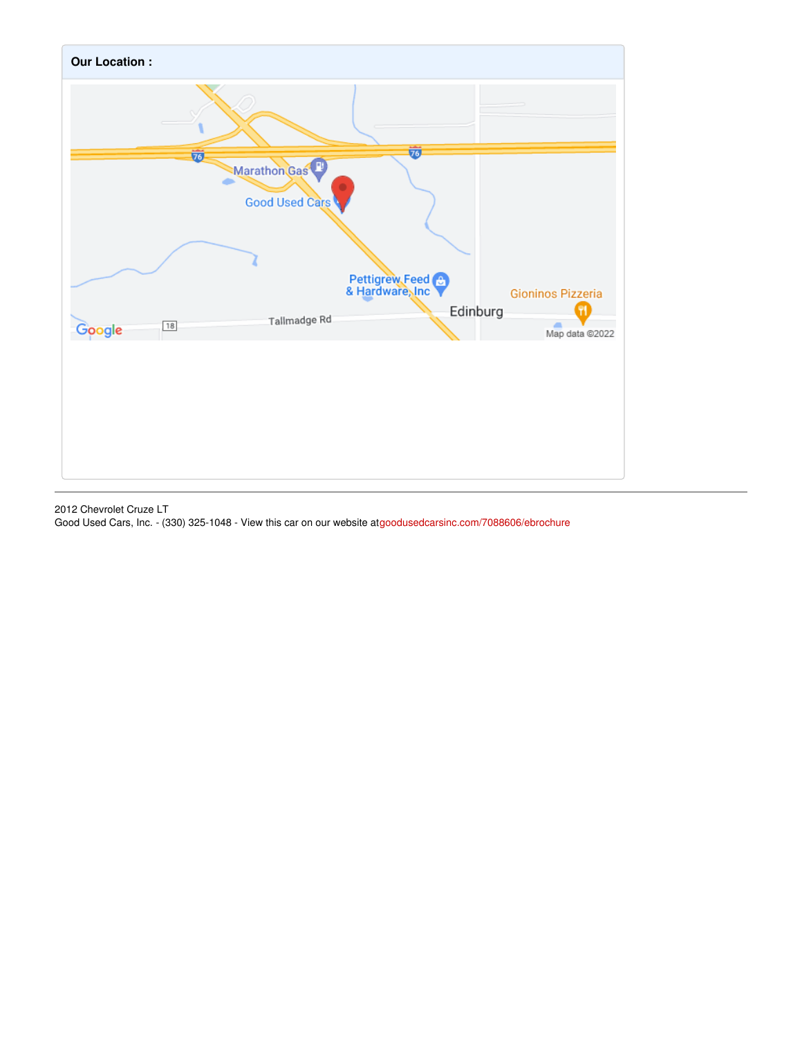

2012 Chevrolet Cruze LT Good Used Cars, Inc. - (330) 325-1048 - View this car on our website at[goodusedcarsinc.com/7088606/ebrochure](https://goodusedcarsinc.com/vehicle/7088606/2012-chevrolet-cruze-lt-ravenna-ohio-44266/7088606/ebrochure)